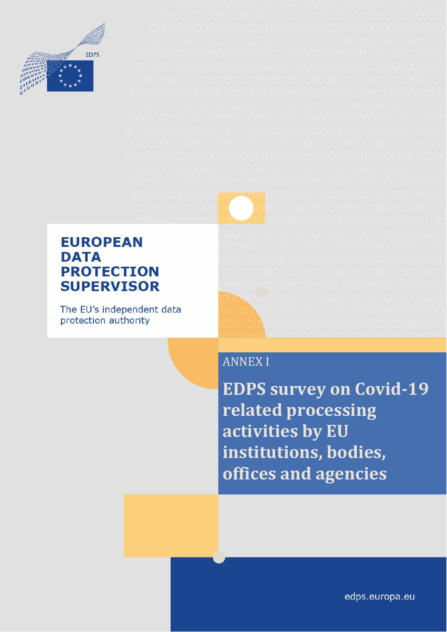

### **EUROPEAN DATA PROTECTION SUPERVISOR**

The EU's independent data protection authority

## ANNEX I

**EDPS survey on Covid-19 related processing activities by EU institutions, bodies, offices and agencies**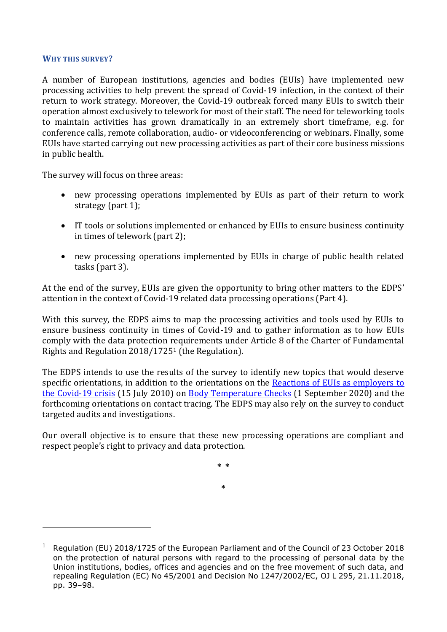#### **WHY THIS SURVEY?**

A number of European institutions, agencies and bodies (EUIs) have implemented new processing activities to help prevent the spread of Covid-19 infection, in the context of their return to work strategy. Moreover, the Covid-19 outbreak forced many EUIs to switch their operation almost exclusively to telework for most of their staff. The need for teleworking tools to maintain activities has grown dramatically in an extremely short timeframe, e.g. for conference calls, remote collaboration, audio- or videoconferencing or webinars. Finally, some EUIs have started carrying out new processing activities as part of their core business missions in public health.

The survey will focus on three areas:

- new processing operations implemented by EUIs as part of their return to work strategy (part 1);
- IT tools or solutions implemented or enhanced by EUIs to ensure business continuity in times of telework (part 2);
- new processing operations implemented by EUIs in charge of public health related tasks (part 3).

At the end of the survey, EUIs are given the opportunity to bring other matters to the EDPS' attention in the context of Covid-19 related data processing operations (Part 4).

With this survey, the EDPS aims to map the processing activities and tools used by EUIs to ensure business continuity in times of Covid-19 and to gather information as to how EUIs comply with the data protection requirements under Article 8 of the Charter of Fundamental Rights and Regulation 2018/1725<sup>1</sup> (the Regulation).

The EDPS intends to use the results of the survey to identify new topics that would deserve specific orientations, in addition to the orientations on the Reactions of EUIs as employers to [the Covid-19 crisis](https://edps.europa.eu/sites/edp/files/publication/20-07-15_edps_guidelines_remote_work_en.pdf) (15 July 2010) on [Body Temperature Checks](https://edps.europa.eu/sites/edp/files/publication/01-09-20_edps_orientations_on_body_temperature_checks_in_the_context_of_euis_en.pdf) (1 September 2020) and the forthcoming orientations on contact tracing. The EDPS may also rely on the survey to conduct targeted audits and investigations.

Our overall objective is to ensure that these new processing operations are compliant and respect people's right to privacy and data protection.

> **\* \* \***

<sup>1</sup> Regulation (EU) 2018/1725 of the European Parliament and of the Council of 23 October 2018 on the protection of natural persons with regard to the processing of personal data by the Union institutions, bodies, offices and agencies and on the free movement of such data, and repealing Regulation (EC) No 45/2001 and Decision No 1247/2002/EC, OJ L 295, 21.11.2018, pp. 39–98.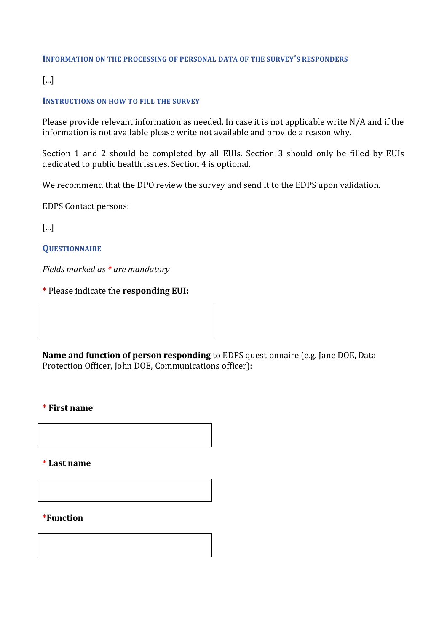#### **INFORMATION ON THE PROCESSING OF PERSONAL DATA OF THE SURVEY'S RESPONDERS**

[...]

#### **INSTRUCTIONS ON HOW TO FILL THE SURVEY**

Please provide relevant information as needed. In case it is not applicable write N/A and if the information is not available please write not available and provide a reason why.

Section 1 and 2 should be completed by all EUIs. Section 3 should only be filled by EUIs dedicated to public health issues. Section 4 is optional.

We recommend that the DPO review the survey and send it to the EDPS upon validation.

EDPS Contact persons:

[...]

**QUESTIONNAIRE**

*Fields marked as \* are mandatory*

**\*** Please indicate the **responding EUI:**

**Name and function of person responding** to EDPS questionnaire (e.g. Jane DOE, Data Protection Officer, John DOE, Communications officer):

#### **\* First name**

**\* Last name**

#### **\*Function**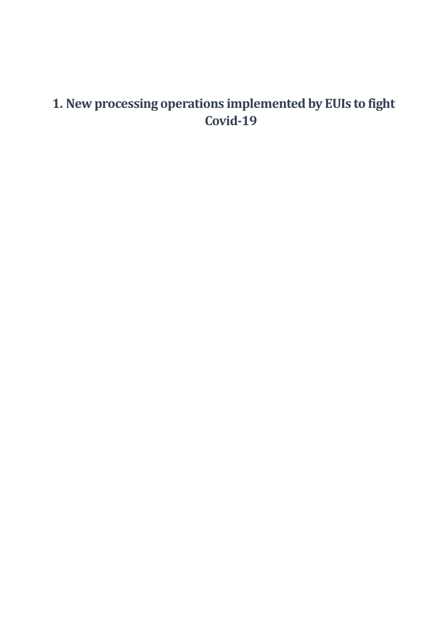## **1. New processing operations implemented by EUIs to fight Covid-19**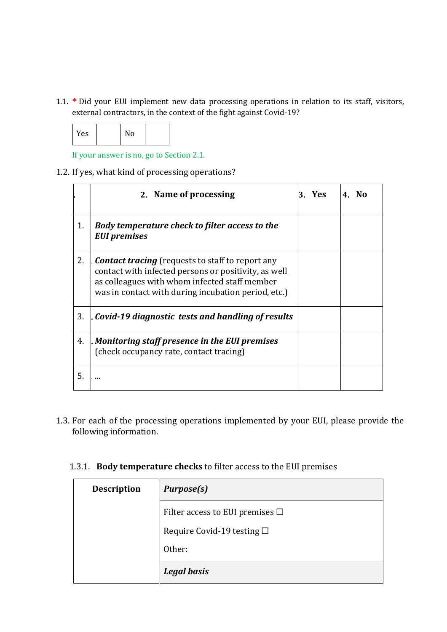1.1. **\*** Did your EUI implement new data processing operations in relation to its staff, visitors, external contractors, in the context of the fight against Covid-19?

| Yes |  | N٥ |  |
|-----|--|----|--|
|-----|--|----|--|

If your answer is no, go to Section 2.1.

1.2. If yes, what kind of processing operations?

|    | 2. Name of processing                                                                                                                                                                                                   | 3. Yes | 4. No |
|----|-------------------------------------------------------------------------------------------------------------------------------------------------------------------------------------------------------------------------|--------|-------|
| 1. | Body temperature check to filter access to the<br><b>EUI</b> premises                                                                                                                                                   |        |       |
| 2. | <b>Contact tracing</b> (requests to staff to report any<br>contact with infected persons or positivity, as well<br>as colleagues with whom infected staff member<br>was in contact with during incubation period, etc.) |        |       |
| 3. | Covid-19 diagnostic tests and handling of results                                                                                                                                                                       |        |       |
| 4. | . Monitoring staff presence in the EUI premises<br>(check occupancy rate, contact tracing)                                                                                                                              |        |       |
| 5. |                                                                                                                                                                                                                         |        |       |

1.3. For each of the processing operations implemented by your EUI, please provide the following information.

|  |  |  | 1.3.1. Body temperature checks to filter access to the EUI premises |
|--|--|--|---------------------------------------------------------------------|
|--|--|--|---------------------------------------------------------------------|

| <b>Description</b> | <b>Purpose(s)</b>                    |
|--------------------|--------------------------------------|
|                    | Filter access to EUI premises $\Box$ |
|                    | Require Covid-19 testing $\square$   |
|                    | Other:                               |
|                    | <b>Legal basis</b>                   |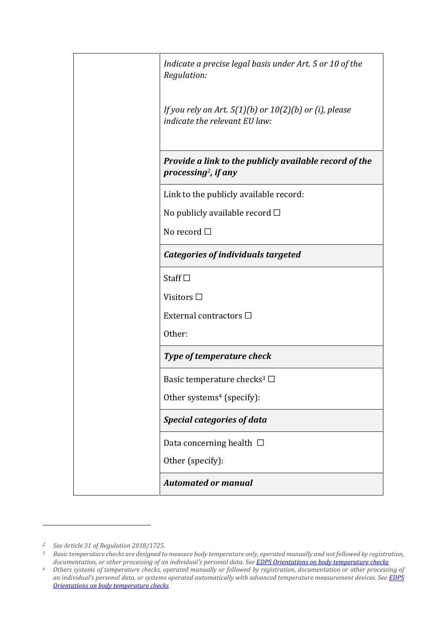| Indicate a precise legal basis under Art. 5 or 10 of the<br>Regulation:                     |
|---------------------------------------------------------------------------------------------|
| If you rely on Art. $5(1)(b)$ or $10(2)(b)$ or (i), please<br>indicate the relevant EU law: |
| Provide a link to the publicly available record of the<br>processing <sup>2</sup> , if any  |
| Link to the publicly available record:                                                      |
| No publicly available record $\square$                                                      |
| No record $\Box$                                                                            |
| <b>Categories of individuals targeted</b>                                                   |
| Staff $\square$                                                                             |
| Visitors $\square$                                                                          |
| External contractors □                                                                      |
| Other:                                                                                      |
| Type of temperature check                                                                   |
| Basic temperature checks <sup>3</sup> $\Box$                                                |
| Other systems <sup>4</sup> (specify):                                                       |
| <b>Special categories of data</b>                                                           |
| Data concerning health $\ \Box$                                                             |
| Other (specify):                                                                            |
| <b>Automated or manual</b>                                                                  |

*<sup>2</sup> See Article 31 of Regulation 2018/1725.*

*<sup>3</sup> Basic temperature checks are designed to measure body temperature only, operated manually and not followed by registration, documentation, or other processing of an individual's personal data. Se[e EDPS Orientations on body temperature checks](https://edps.europa.eu/sites/edp/files/publication/01-09-20_edps_orientations_on_body_temperature_checks_in_the_context_of_euis_en.pdf)* 

*<sup>4</sup> Others systems of temperature checks, operated manually or followed by registration, documentation or other processing of an individual's personal data, or systems operated automatically with advanced temperature measurement devices. See [EDPS](https://edps.europa.eu/sites/edp/files/publication/01-09-20_edps_orientations_on_body_temperature_checks_in_the_context_of_euis_en.pdf)  [Orientations on body temperature checks](https://edps.europa.eu/sites/edp/files/publication/01-09-20_edps_orientations_on_body_temperature_checks_in_the_context_of_euis_en.pdf)*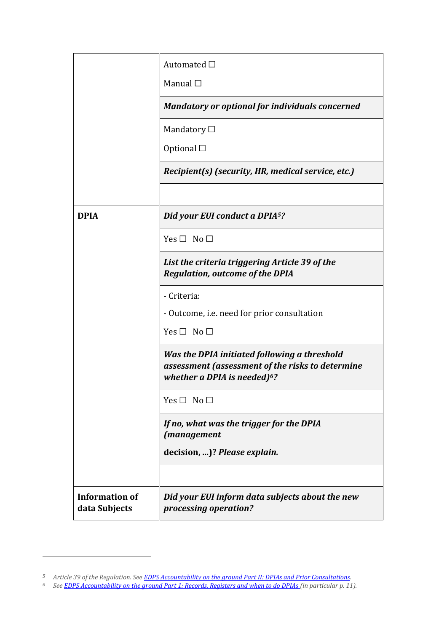|                                        | Automated $\Box$                                                                                                                             |
|----------------------------------------|----------------------------------------------------------------------------------------------------------------------------------------------|
|                                        | Manual $\square$                                                                                                                             |
|                                        | <b>Mandatory or optional for individuals concerned</b>                                                                                       |
|                                        | Mandatory $\Box$                                                                                                                             |
|                                        | Optional $\square$                                                                                                                           |
|                                        | Recipient(s) (security, HR, medical service, etc.)                                                                                           |
|                                        |                                                                                                                                              |
| <b>DPIA</b>                            | Did your EUI conduct a DPIA <sup>5</sup> ?                                                                                                   |
|                                        | $Yes \Box No \Box$                                                                                                                           |
|                                        | List the criteria triggering Article 39 of the<br><b>Regulation, outcome of the DPIA</b>                                                     |
|                                        | - Criteria:                                                                                                                                  |
|                                        | - Outcome, i.e. need for prior consultation                                                                                                  |
|                                        | Yes $\Box$ No $\Box$                                                                                                                         |
|                                        | Was the DPIA initiated following a threshold<br>assessment (assessment of the risks to determine<br>whether a DPIA is needed) <sup>6</sup> ? |
|                                        | $Yes \Box No \Box$                                                                                                                           |
|                                        | If no, what was the trigger for the DPIA<br>(management                                                                                      |
|                                        | decision, )? Please explain.                                                                                                                 |
|                                        |                                                                                                                                              |
| <b>Information of</b><br>data Subjects | Did your EUI inform data subjects about the new<br>processing operation?                                                                     |

*<sup>5</sup> Article 39 of the Regulation. See [EDPS Accountability on the ground Part II: DPIAs and Prior Consultations.](https://edps.europa.eu/sites/edp/files/publication/19-07-17_accountability_on_the_ground_part_ii_en.pdf)*

*<sup>6</sup> Se[e EDPS Accountability on the ground Part 1: Records, Registers and when to do DPIAs \(](https://edps.europa.eu/sites/edp/files/publication/19-07-17_accountability_on_the_ground_part_i_en.pdf)in particular p. 11).*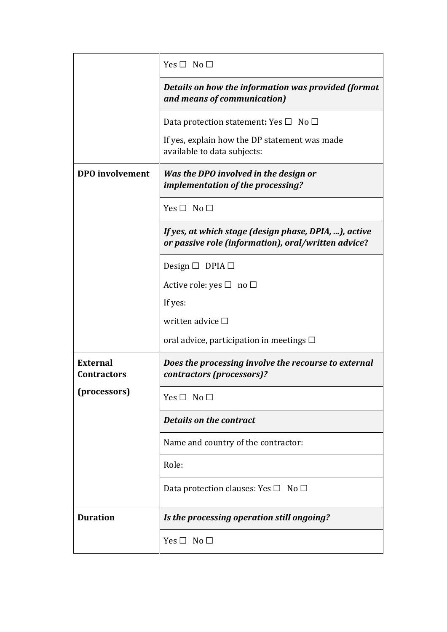|                                       | Yes $\Box$ No $\Box$                                                                                         |
|---------------------------------------|--------------------------------------------------------------------------------------------------------------|
|                                       | Details on how the information was provided (format<br>and means of communication)                           |
|                                       | Data protection statement: Yes $\square$ No $\square$                                                        |
|                                       | If yes, explain how the DP statement was made<br>available to data subjects:                                 |
| <b>DPO</b> involvement                | Was the DPO involved in the design or<br>implementation of the processing?                                   |
|                                       | $Yes \Box No \Box$                                                                                           |
|                                       | If yes, at which stage (design phase, DPIA, ), active<br>or passive role (information), oral/written advice? |
|                                       | Design $\Box$ DPIA $\Box$                                                                                    |
|                                       | Active role: yes $\square$ no $\square$                                                                      |
|                                       | If yes:                                                                                                      |
|                                       | written advice $\Box$                                                                                        |
|                                       | oral advice, participation in meetings $\Box$                                                                |
| <b>External</b><br><b>Contractors</b> | Does the processing involve the recourse to external<br>contractors (processors)?                            |
| (processors)                          | Yes $\Box$ No $\Box$                                                                                         |
|                                       | <b>Details on the contract</b>                                                                               |
|                                       | Name and country of the contractor:                                                                          |
|                                       | Role:                                                                                                        |
|                                       | Data protection clauses: Yes $\square$ No $\square$                                                          |
| <b>Duration</b>                       | Is the processing operation still ongoing?                                                                   |
|                                       | $Yes \Box No \Box$                                                                                           |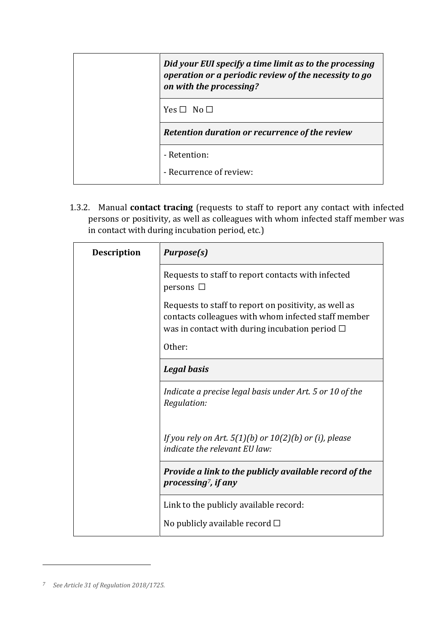| Did your EUI specify a time limit as to the processing<br>operation or a periodic review of the necessity to go<br>on with the processing? |
|--------------------------------------------------------------------------------------------------------------------------------------------|
| $Yes \Box No \Box$                                                                                                                         |
| Retention duration or recurrence of the review                                                                                             |
| - Retention:                                                                                                                               |
| - Recurrence of review:                                                                                                                    |

1.3.2. Manual **contact tracing** (requests to staff to report any contact with infected persons or positivity, as well as colleagues with whom infected staff member was in contact with during incubation period, etc.)

| <b>Description</b> | <b>Purpose(s)</b>                                                                                                                                                      |
|--------------------|------------------------------------------------------------------------------------------------------------------------------------------------------------------------|
|                    | Requests to staff to report contacts with infected<br>persons $\Box$                                                                                                   |
|                    | Requests to staff to report on positivity, as well as<br>contacts colleagues with whom infected staff member<br>was in contact with during incubation period $\square$ |
|                    | Other:                                                                                                                                                                 |
|                    | <b>Legal basis</b>                                                                                                                                                     |
|                    | Indicate a precise legal basis under Art. 5 or 10 of the<br>Regulation:                                                                                                |
|                    | If you rely on Art. $5(1)(b)$ or $10(2)(b)$ or (i), please<br>indicate the relevant EU law:                                                                            |
|                    | Provide a link to the publicly available record of the<br>processing <sup>7</sup> , if any                                                                             |
|                    | Link to the publicly available record:                                                                                                                                 |
|                    | No publicly available record $\square$                                                                                                                                 |

*<sup>7</sup> See Article 31 of Regulation 2018/1725.*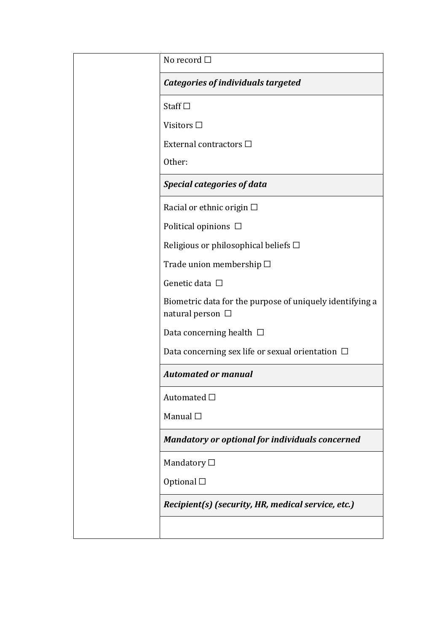| No record $\Box$                                                                  |
|-----------------------------------------------------------------------------------|
| <b>Categories of individuals targeted</b>                                         |
| Staff $\square$                                                                   |
| Visitors $\square$                                                                |
| External contractors □                                                            |
| Other:                                                                            |
| <b>Special categories of data</b>                                                 |
| Racial or ethnic origin $\Box$                                                    |
| Political opinions $\Box$                                                         |
| Religious or philosophical beliefs $\Box$                                         |
| Trade union membership $\Box$                                                     |
| Genetic data $\square$                                                            |
| Biometric data for the purpose of uniquely identifying a<br>natural person $\Box$ |
| Data concerning health $\Box$                                                     |
| Data concerning sex life or sexual orientation $\Box$                             |
| <b>Automated or manual</b>                                                        |
| Automated $\Box$                                                                  |
| Manual $\square$                                                                  |
| <b>Mandatory or optional for individuals concerned</b>                            |
| Mandatory $\Box$                                                                  |
| Optional $\square$                                                                |
| Recipient(s) (security, HR, medical service, etc.)                                |
|                                                                                   |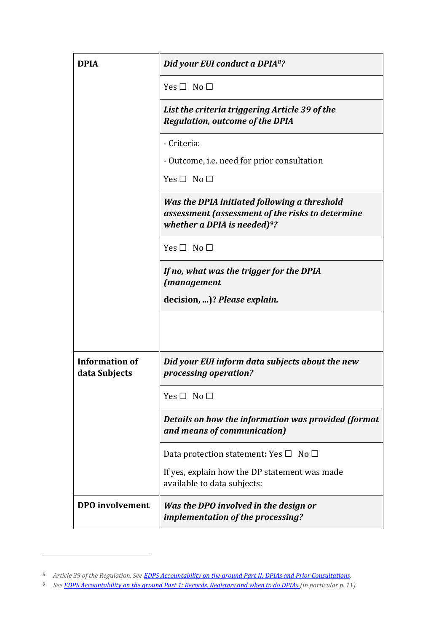| <b>DPIA</b>                            | Did your EUI conduct a DPIA <sup>8</sup> ?                                                                                          |
|----------------------------------------|-------------------------------------------------------------------------------------------------------------------------------------|
|                                        | Yes $\Box$ No $\Box$                                                                                                                |
|                                        | List the criteria triggering Article 39 of the<br><b>Regulation, outcome of the DPIA</b>                                            |
|                                        | - Criteria:                                                                                                                         |
|                                        | - Outcome, i.e. need for prior consultation                                                                                         |
|                                        | Yes $\Box$ No $\Box$                                                                                                                |
|                                        | Was the DPIA initiated following a threshold<br>assessment (assessment of the risks to determine<br>whether a DPIA is needed) $9$ ? |
|                                        | $Yes \Box No \Box$                                                                                                                  |
|                                        | If no, what was the trigger for the DPIA<br><i>(management</i>                                                                      |
|                                        | decision, )? Please explain.                                                                                                        |
|                                        |                                                                                                                                     |
| <b>Information of</b><br>data Subjects | Did your EUI inform data subjects about the new<br>processing operation?                                                            |
|                                        | Yes $\Box$ No $\Box$                                                                                                                |
|                                        | Details on how the information was provided (format<br>and means of communication)                                                  |
|                                        | Data protection statement: Yes $\square$ No $\square$                                                                               |
|                                        | If yes, explain how the DP statement was made<br>available to data subjects:                                                        |
| <b>DPO</b> involvement                 | Was the DPO involved in the design or<br>implementation of the processing?                                                          |

*<sup>8</sup> Article 39 of the Regulation. See [EDPS Accountability on the ground Part II: DPIAs and Prior Consultations.](https://edps.europa.eu/sites/edp/files/publication/19-07-17_accountability_on_the_ground_part_ii_en.pdf)*

*<sup>9</sup> Se[e EDPS Accountability on the ground Part 1: Records, Registers and when to do DPIAs \(](https://edps.europa.eu/sites/edp/files/publication/19-07-17_accountability_on_the_ground_part_i_en.pdf)in particular p. 11).*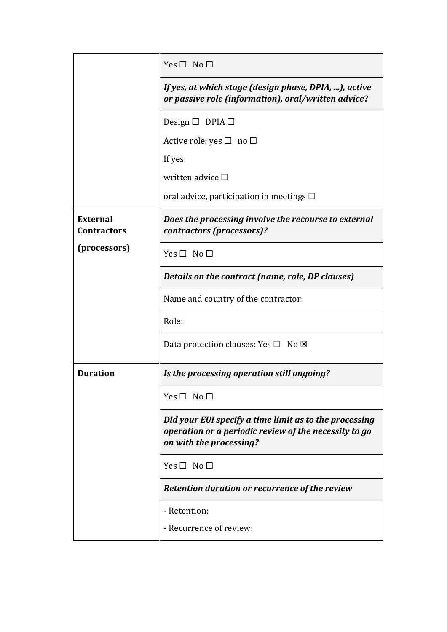|                                       | Yes $\Box$ No $\Box$                                                                                                                       |
|---------------------------------------|--------------------------------------------------------------------------------------------------------------------------------------------|
|                                       | If yes, at which stage (design phase, DPIA, ), active<br>or passive role (information), oral/written advice?                               |
|                                       | Design $\Box$ DPIA $\Box$                                                                                                                  |
|                                       | Active role: yes $\square$ no $\square$                                                                                                    |
|                                       | If yes:                                                                                                                                    |
|                                       | written advice $\square$                                                                                                                   |
|                                       | oral advice, participation in meetings $\Box$                                                                                              |
| <b>External</b><br><b>Contractors</b> | Does the processing involve the recourse to external<br>contractors (processors)?                                                          |
| (processors)                          | $Yes \Box No \Box$                                                                                                                         |
|                                       | Details on the contract (name, role, DP clauses)                                                                                           |
|                                       | Name and country of the contractor:                                                                                                        |
|                                       | Role:                                                                                                                                      |
|                                       | Data protection clauses: Yes $\square$ No $\boxtimes$                                                                                      |
| <b>Duration</b>                       | Is the processing operation still ongoing?                                                                                                 |
|                                       | Yes $\Box$ No $\Box$                                                                                                                       |
|                                       | Did your EUI specify a time limit as to the processing<br>operation or a periodic review of the necessity to go<br>on with the processing? |
|                                       | Yes $\Box$ No $\Box$                                                                                                                       |
|                                       | Retention duration or recurrence of the review                                                                                             |
|                                       | - Retention:                                                                                                                               |
|                                       | - Recurrence of review:                                                                                                                    |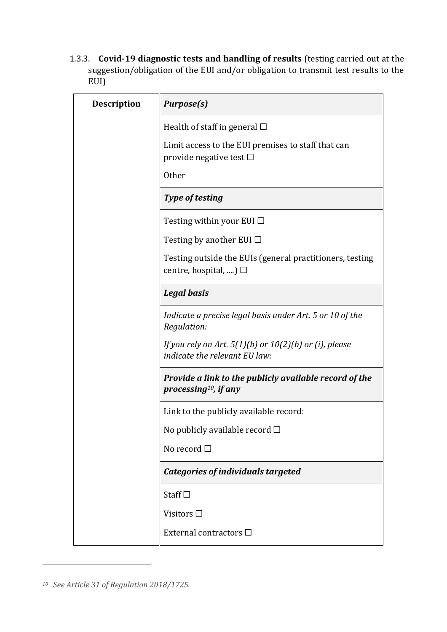1.3.3. **Covid-19 diagnostic tests and handling of results** (testing carried out at the suggestion/obligation of the EUI and/or obligation to transmit test results to the EUI)

| <b>Description</b> | <b>Purpose(s)</b>                                                                           |
|--------------------|---------------------------------------------------------------------------------------------|
|                    | Health of staff in general $\Box$                                                           |
|                    | Limit access to the EUI premises to staff that can<br>provide negative test $\Box$          |
|                    | <b>Other</b>                                                                                |
|                    | <b>Type of testing</b>                                                                      |
|                    | Testing within your EUI $\Box$                                                              |
|                    | Testing by another EUI $\Box$                                                               |
|                    | Testing outside the EUIs (general practitioners, testing<br>centre, hospital, ) $\Box$      |
|                    | <b>Legal basis</b>                                                                          |
|                    | Indicate a precise legal basis under Art. 5 or 10 of the<br>Regulation:                     |
|                    | If you rely on Art. $5(1)(b)$ or $10(2)(b)$ or (i), please<br>indicate the relevant EU law: |
|                    | Provide a link to the publicly available record of the<br>processing <sup>10</sup> , if any |
|                    | Link to the publicly available record:                                                      |
|                    | No publicly available record □                                                              |
|                    | No record $\Box$                                                                            |
|                    | <b>Categories of individuals targeted</b>                                                   |
|                    | Staff $\square$                                                                             |
|                    | Visitors □                                                                                  |
|                    | External contractors □                                                                      |

*<sup>10</sup> See Article 31 of Regulation 2018/1725.*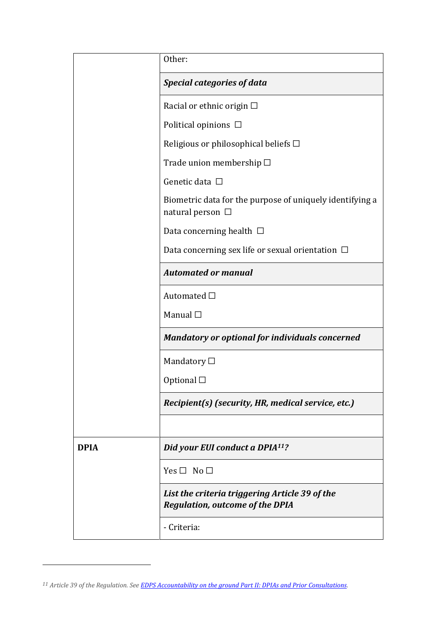|             | Other:                                                                                   |
|-------------|------------------------------------------------------------------------------------------|
|             | <b>Special categories of data</b>                                                        |
|             | Racial or ethnic origin $\Box$                                                           |
|             | Political opinions $\Box$                                                                |
|             | Religious or philosophical beliefs $\Box$                                                |
|             | Trade union membership $\Box$                                                            |
|             | Genetic data □                                                                           |
|             | Biometric data for the purpose of uniquely identifying a<br>natural person $\ \Box$      |
|             | Data concerning health $\Box$                                                            |
|             | Data concerning sex life or sexual orientation $\Box$                                    |
|             | <b>Automated or manual</b>                                                               |
|             | Automated □                                                                              |
|             | Manual $\square$                                                                         |
|             | <b>Mandatory or optional for individuals concerned</b>                                   |
|             | Mandatory $\square$                                                                      |
|             | Optional $\square$                                                                       |
|             | Recipient(s) (security, HR, medical service, etc.)                                       |
|             |                                                                                          |
| <b>DPIA</b> | Did your EUI conduct a DPIA <sup>11</sup> ?                                              |
|             | Yes $\Box$ No $\Box$                                                                     |
|             | List the criteria triggering Article 39 of the<br><b>Regulation, outcome of the DPIA</b> |
|             | - Criteria:                                                                              |

*<sup>11</sup> Article 39 of the Regulation. Se[e EDPS Accountability on the ground Part II: DPIAs and Prior Consultations.](https://edps.europa.eu/sites/edp/files/publication/19-07-17_accountability_on_the_ground_part_ii_en.pdf)*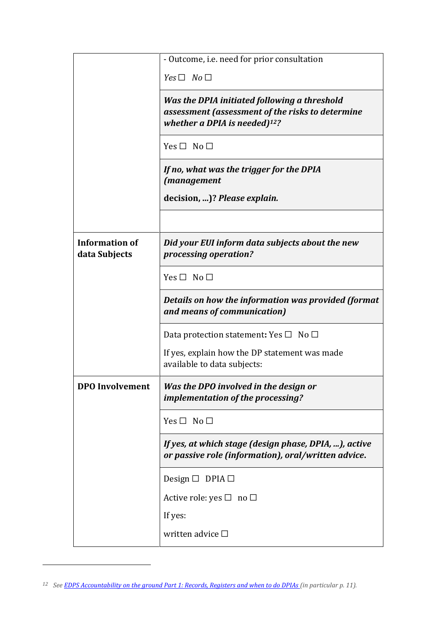|                                        | - Outcome, i.e. need for prior consultation                                                                                          |
|----------------------------------------|--------------------------------------------------------------------------------------------------------------------------------------|
|                                        | $Yes \Box No \Box$                                                                                                                   |
|                                        | Was the DPIA initiated following a threshold<br>assessment (assessment of the risks to determine<br>whether a DPIA is needed) $12$ ? |
|                                        | Yes $\Box$ No $\Box$                                                                                                                 |
|                                        | If no, what was the trigger for the DPIA<br>(management                                                                              |
|                                        | decision, )? Please explain.                                                                                                         |
|                                        |                                                                                                                                      |
| <b>Information of</b><br>data Subjects | Did your EUI inform data subjects about the new<br>processing operation?                                                             |
|                                        | Yes $\Box$ No $\Box$                                                                                                                 |
|                                        | Details on how the information was provided (format<br>and means of communication)                                                   |
|                                        | Data protection statement: Yes $\square$ No $\square$                                                                                |
|                                        | If yes, explain how the DP statement was made<br>available to data subjects:                                                         |
| <b>DPO</b> Involvement                 | Was the DPO involved in the design or<br>implementation of the processing?                                                           |
|                                        | Yes $\Box$ No $\Box$                                                                                                                 |
|                                        | If yes, at which stage (design phase, DPIA, ), active<br>or passive role (information), oral/written advice.                         |
|                                        | Design $\Box$ DPIA $\Box$                                                                                                            |
|                                        | Active role: yes $\square$ no $\square$                                                                                              |
|                                        | If yes:                                                                                                                              |
|                                        | written advice $\square$                                                                                                             |

*<sup>12</sup> Se[e EDPS Accountability on the ground Part 1: Records, Registers and when to do DPIAs \(](https://edps.europa.eu/sites/edp/files/publication/19-07-17_accountability_on_the_ground_part_i_en.pdf)in particular p. 11).*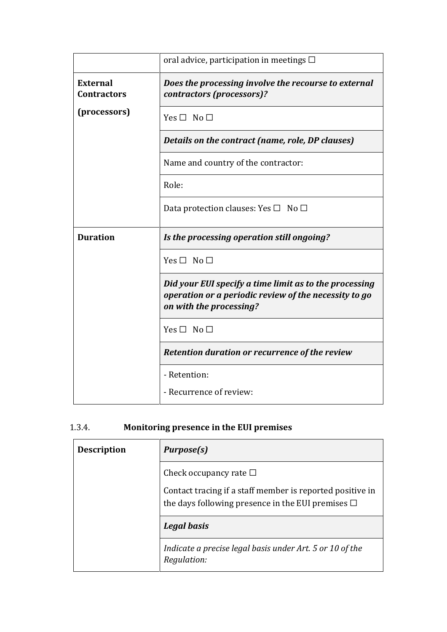|                                       | oral advice, participation in meetings $\Box$                                                                                              |
|---------------------------------------|--------------------------------------------------------------------------------------------------------------------------------------------|
| <b>External</b><br><b>Contractors</b> | Does the processing involve the recourse to external<br>contractors (processors)?                                                          |
| (processors)                          | Yes $\Box$ No $\Box$                                                                                                                       |
|                                       | Details on the contract (name, role, DP clauses)                                                                                           |
|                                       | Name and country of the contractor:                                                                                                        |
|                                       | Role:                                                                                                                                      |
|                                       | Data protection clauses: Yes $\square$ No $\square$                                                                                        |
|                                       |                                                                                                                                            |
| <b>Duration</b>                       | Is the processing operation still ongoing?                                                                                                 |
|                                       | $Yes \Box No \Box$                                                                                                                         |
|                                       | Did your EUI specify a time limit as to the processing<br>operation or a periodic review of the necessity to go<br>on with the processing? |
|                                       | Yes $\Box$ No $\Box$                                                                                                                       |
|                                       | Retention duration or recurrence of the review                                                                                             |
|                                       | - Retention:                                                                                                                               |

### 1.3.4. **Monitoring presence in the EUI premises**

| <b>Description</b> | <b>Purpose(s)</b>                                                                                                   |
|--------------------|---------------------------------------------------------------------------------------------------------------------|
|                    | Check occupancy rate $\square$                                                                                      |
|                    | Contact tracing if a staff member is reported positive in<br>the days following presence in the EUI premises $\Box$ |
|                    | Legal basis                                                                                                         |
|                    | Indicate a precise legal basis under Art. 5 or 10 of the<br>Regulation:                                             |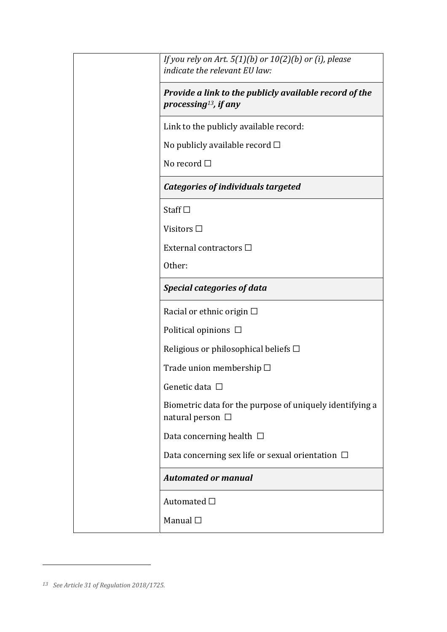| If you rely on Art. $5(1)(b)$ or $10(2)(b)$ or (i), please<br>indicate the relevant EU law: |
|---------------------------------------------------------------------------------------------|
| Provide a link to the publicly available record of the<br>processing <sup>13</sup> , if any |
| Link to the publicly available record:                                                      |
| No publicly available record $\square$                                                      |
| No record $\Box$                                                                            |
| <b>Categories of individuals targeted</b>                                                   |
| Staff $\square$                                                                             |
| Visitors $\square$                                                                          |
| External contractors □                                                                      |
| Other:                                                                                      |
| <b>Special categories of data</b>                                                           |
| Racial or ethnic origin $\Box$                                                              |
| Political opinions $\Box$                                                                   |
| Religious or philosophical beliefs $\Box$                                                   |
| Trade union membership $\Box$                                                               |
| Genetic data $\Box$                                                                         |
| Biometric data for the purpose of uniquely identifying a<br>natural person $\Box$           |
| Data concerning health $\Box$                                                               |
| Data concerning sex life or sexual orientation $\Box$                                       |
| <b>Automated or manual</b>                                                                  |
| Automated $\square$                                                                         |
| Manual $\square$                                                                            |

*<sup>13</sup> See Article 31 of Regulation 2018/1725.*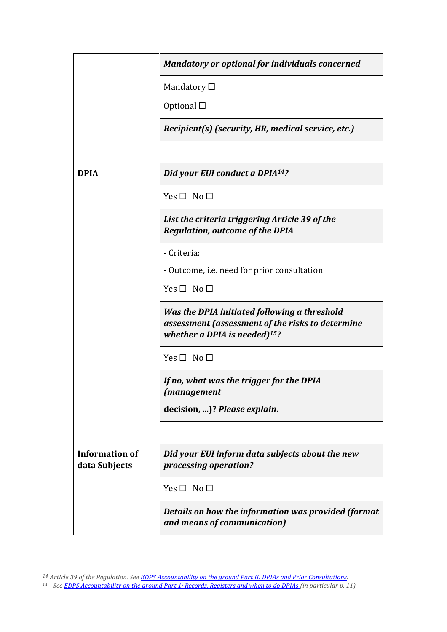|                                        | <b>Mandatory or optional for individuals concerned</b>                                                                               |
|----------------------------------------|--------------------------------------------------------------------------------------------------------------------------------------|
|                                        | Mandatory $\Box$                                                                                                                     |
|                                        | Optional $\square$                                                                                                                   |
|                                        | Recipient(s) (security, HR, medical service, etc.)                                                                                   |
|                                        |                                                                                                                                      |
| <b>DPIA</b>                            | Did your EUI conduct a DPIA <sup>14</sup> ?                                                                                          |
|                                        | Yes $\Box$ No $\Box$                                                                                                                 |
|                                        | List the criteria triggering Article 39 of the<br><b>Regulation, outcome of the DPIA</b>                                             |
|                                        | - Criteria:                                                                                                                          |
|                                        | - Outcome, i.e. need for prior consultation                                                                                          |
|                                        | Yes $\Box$ No $\Box$                                                                                                                 |
|                                        | Was the DPIA initiated following a threshold<br>assessment (assessment of the risks to determine<br>whether a DPIA is needed) $15$ ? |
|                                        | $Yes \Box No \Box$                                                                                                                   |
|                                        | If no, what was the trigger for the DPIA<br><i>(management</i>                                                                       |
|                                        | decision, )? Please explain.                                                                                                         |
|                                        |                                                                                                                                      |
| <b>Information of</b><br>data Subjects | Did your EUI inform data subjects about the new<br>processing operation?                                                             |
|                                        | $Yes \Box No \Box$                                                                                                                   |
|                                        | Details on how the information was provided (format<br>and means of communication)                                                   |

*<sup>14</sup> Article 39 of the Regulation. Se[e EDPS Accountability on the ground Part II: DPIAs and Prior Consultations.](https://edps.europa.eu/sites/edp/files/publication/19-07-17_accountability_on_the_ground_part_ii_en.pdf)*

*<sup>15</sup> Se[e EDPS Accountability on the ground Part 1: Records, Registers and when to do DPIAs \(](https://edps.europa.eu/sites/edp/files/publication/19-07-17_accountability_on_the_ground_part_i_en.pdf)in particular p. 11).*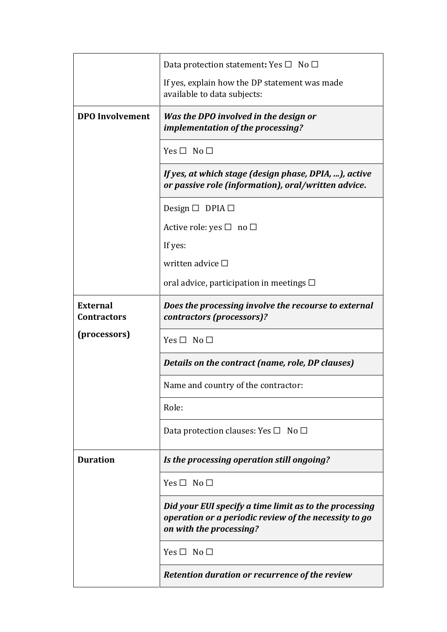|                                       | Data protection statement: Yes $\Box$ No $\Box$                                                                                            |
|---------------------------------------|--------------------------------------------------------------------------------------------------------------------------------------------|
|                                       | If yes, explain how the DP statement was made<br>available to data subjects:                                                               |
| <b>DPO</b> Involvement                | Was the DPO involved in the design or<br>implementation of the processing?                                                                 |
|                                       | $Yes \Box No \Box$                                                                                                                         |
|                                       | If yes, at which stage (design phase, DPIA, ), active<br>or passive role (information), oral/written advice.                               |
|                                       | Design $\Box$ DPIA $\Box$                                                                                                                  |
|                                       | Active role: yes $\square$ no $\square$                                                                                                    |
|                                       | If yes:                                                                                                                                    |
|                                       | written advice $\Box$                                                                                                                      |
|                                       | oral advice, participation in meetings $\Box$                                                                                              |
| <b>External</b><br><b>Contractors</b> | Does the processing involve the recourse to external<br>contractors (processors)?                                                          |
|                                       |                                                                                                                                            |
| (processors)                          | Yes $\Box$ No $\Box$                                                                                                                       |
|                                       | Details on the contract (name, role, DP clauses)                                                                                           |
|                                       | Name and country of the contractor:                                                                                                        |
|                                       | Role:                                                                                                                                      |
|                                       | Data protection clauses: Yes $\square$ No $\square$                                                                                        |
| <b>Duration</b>                       | Is the processing operation still ongoing?                                                                                                 |
|                                       | $Yes \Box No \Box$                                                                                                                         |
|                                       | Did your EUI specify a time limit as to the processing<br>operation or a periodic review of the necessity to go<br>on with the processing? |
|                                       | $Yes \Box No \Box$                                                                                                                         |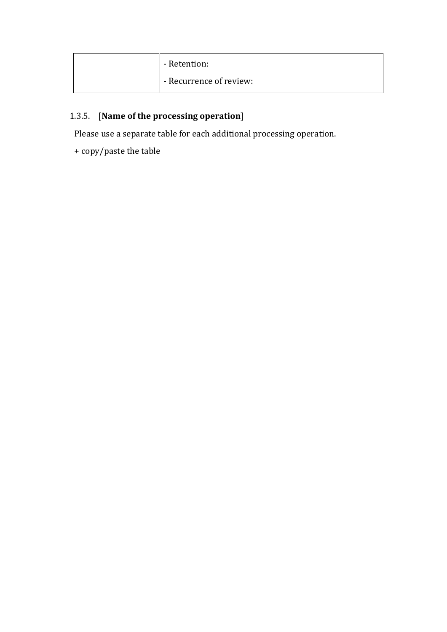| - Retention:            |
|-------------------------|
| - Recurrence of review: |

### 1.3.5. [**Name of the processing operation**]

Please use a separate table for each additional processing operation.

+ copy/paste the table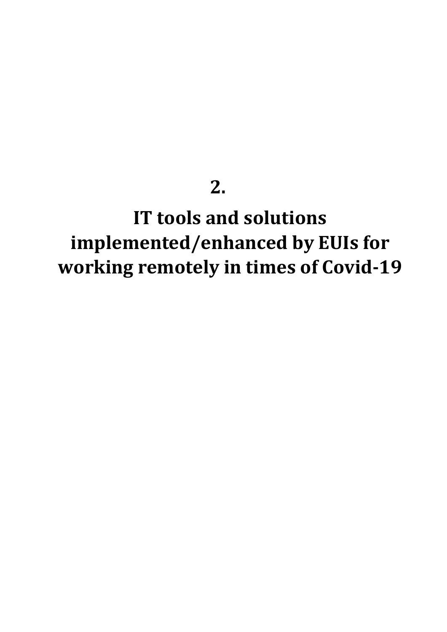# **2.**

# **IT tools and solutions implemented/enhanced by EUIs for working remotely in times of Covid-19**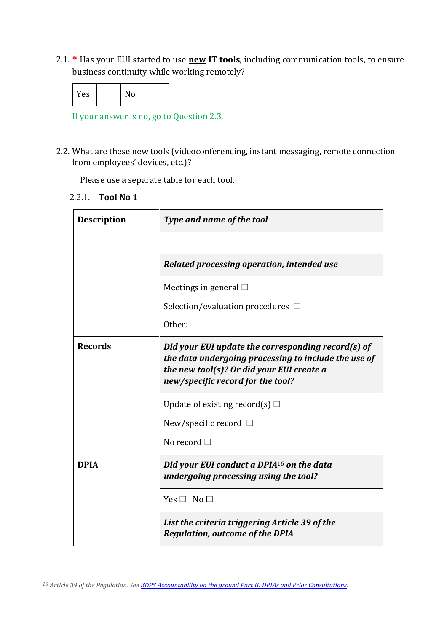2.1. **\*** Has your EUI started to use **new IT tools**, including communication tools, to ensure business continuity while working remotely?

|--|

If your answer is no, go to Question 2.3.

2.2. What are these new tools (videoconferencing, instant messaging, remote connection from employees' devices, etc.)?

Please use a separate table for each tool.

2.2.1. **Tool No 1**

| <b>Description</b> | Type and name of the tool                                                                                                                                                                    |
|--------------------|----------------------------------------------------------------------------------------------------------------------------------------------------------------------------------------------|
|                    |                                                                                                                                                                                              |
|                    | Related processing operation, intended use                                                                                                                                                   |
|                    | Meetings in general $\square$                                                                                                                                                                |
|                    | Selection/evaluation procedures $\Box$                                                                                                                                                       |
|                    | Other:                                                                                                                                                                                       |
| <b>Records</b>     | Did your EUI update the corresponding record(s) of<br>the data undergoing processing to include the use of<br>the new tool(s)? Or did your EUI create a<br>new/specific record for the tool? |
|                    | Update of existing record(s) $\Box$                                                                                                                                                          |
|                    | New/specific record $\Box$                                                                                                                                                                   |
|                    | No record $\Box$                                                                                                                                                                             |
| <b>DPIA</b>        | Did your EUI conduct a DPIA <sup>16</sup> on the data<br>undergoing processing using the tool?                                                                                               |
|                    | $Yes \Box No \Box$                                                                                                                                                                           |
|                    | List the criteria triggering Article 39 of the<br><b>Regulation, outcome of the DPIA</b>                                                                                                     |

*<sup>16</sup> Article 39 of the Regulation. Se[e EDPS Accountability on the ground Part II: DPIAs and Prior Consultations.](https://edps.europa.eu/sites/edp/files/publication/19-07-17_accountability_on_the_ground_part_ii_en.pdf)*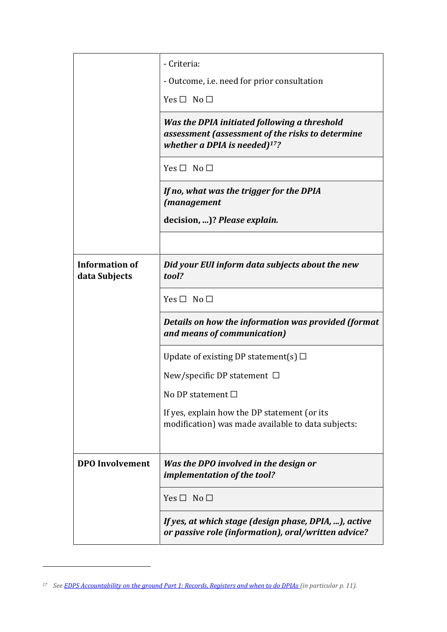|                                        | - Criteria:                                                                                                                          |
|----------------------------------------|--------------------------------------------------------------------------------------------------------------------------------------|
|                                        | - Outcome, i.e. need for prior consultation                                                                                          |
|                                        | Yes $\Box$ No $\Box$                                                                                                                 |
|                                        | Was the DPIA initiated following a threshold<br>assessment (assessment of the risks to determine<br>whether a DPIA is needed) $17$ ? |
|                                        | $Yes \Box No \Box$                                                                                                                   |
|                                        | If no, what was the trigger for the DPIA<br><i>(management</i>                                                                       |
|                                        | decision, )? Please explain.                                                                                                         |
|                                        |                                                                                                                                      |
| <b>Information of</b><br>data Subjects | Did your EUI inform data subjects about the new<br>tool?                                                                             |
|                                        | Yes $\Box$ No $\Box$                                                                                                                 |
|                                        | Details on how the information was provided (format<br>and means of communication)                                                   |
|                                        | Update of existing DP statement(s) $\Box$                                                                                            |
|                                        | New/specific DP statement $\Box$                                                                                                     |
|                                        | No DP statement $\Box$                                                                                                               |
|                                        | If yes, explain how the DP statement (or its<br>modification) was made available to data subjects:                                   |
| <b>DPO</b> Involvement                 | Was the DPO involved in the design or<br>implementation of the tool?                                                                 |
|                                        | Yes $\Box$ No $\Box$                                                                                                                 |
|                                        | If yes, at which stage (design phase, DPIA, ), active<br>or passive role (information), oral/written advice?                         |

*<sup>17</sup> Se[e EDPS Accountability on the ground Part 1: Records, Registers and when to do DPIAs \(](https://edps.europa.eu/sites/edp/files/publication/19-07-17_accountability_on_the_ground_part_i_en.pdf)in particular p. 11).*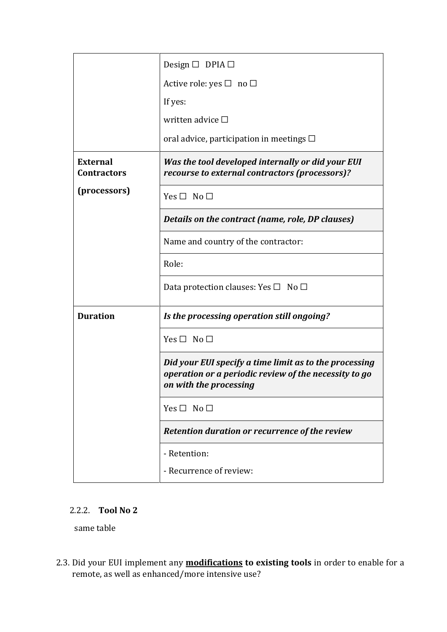|                                       | Design $\Box$ DPIA $\Box$                                                                                                                 |
|---------------------------------------|-------------------------------------------------------------------------------------------------------------------------------------------|
|                                       | Active role: yes $\square$ no $\square$                                                                                                   |
|                                       | If yes:                                                                                                                                   |
|                                       | written advice $\square$                                                                                                                  |
|                                       | oral advice, participation in meetings $\Box$                                                                                             |
| <b>External</b><br><b>Contractors</b> | Was the tool developed internally or did your EUI<br>recourse to external contractors (processors)?                                       |
| (processors)                          | Yes $\Box$ No $\Box$                                                                                                                      |
|                                       | Details on the contract (name, role, DP clauses)                                                                                          |
|                                       | Name and country of the contractor:                                                                                                       |
|                                       | Role:                                                                                                                                     |
|                                       | Data protection clauses: Yes $\square$ No $\square$                                                                                       |
| <b>Duration</b>                       | Is the processing operation still ongoing?                                                                                                |
|                                       | Yes $\Box$ No $\Box$                                                                                                                      |
|                                       | Did your EUI specify a time limit as to the processing<br>operation or a periodic review of the necessity to go<br>on with the processing |
|                                       | Yes $\Box$ No $\Box$                                                                                                                      |
|                                       | Retention duration or recurrence of the review                                                                                            |
|                                       | - Retention:                                                                                                                              |
|                                       | - Recurrence of review:                                                                                                                   |

### 2.2.2. **Tool No 2**

same table

2.3. Did your EUI implement any **modifications to existing tools** in order to enable for a remote, as well as enhanced/more intensive use?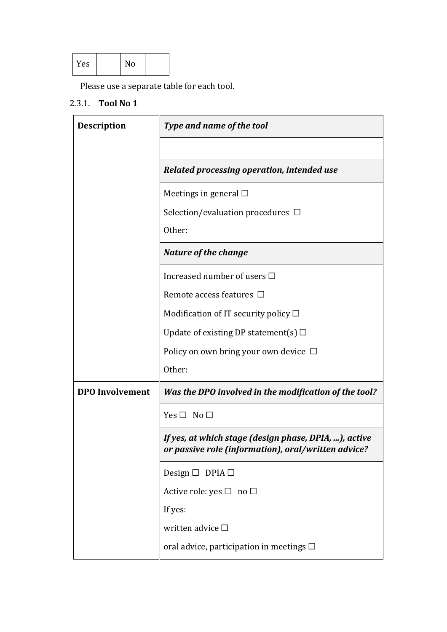| Yes |  | No |  |
|-----|--|----|--|
|-----|--|----|--|

Please use a separate table for each tool.

### 2.3.1. **Tool No 1**

| <b>Description</b>     | Type and name of the tool                                                                                    |
|------------------------|--------------------------------------------------------------------------------------------------------------|
|                        |                                                                                                              |
|                        | Related processing operation, intended use                                                                   |
|                        | Meetings in general $\square$                                                                                |
|                        | Selection/evaluation procedures $\Box$                                                                       |
|                        | Other:                                                                                                       |
|                        | <b>Nature of the change</b>                                                                                  |
|                        | Increased number of users □                                                                                  |
|                        | Remote access features $\Box$                                                                                |
|                        | Modification of IT security policy $\square$                                                                 |
|                        | Update of existing DP statement(s) $\Box$                                                                    |
|                        | Policy on own bring your own device $\Box$                                                                   |
|                        | Other:                                                                                                       |
| <b>DPO</b> Involvement | Was the DPO involved in the modification of the tool?                                                        |
|                        | Yes $\Box$ No $\Box$                                                                                         |
|                        | If yes, at which stage (design phase, DPIA, ), active<br>or passive role (information), oral/written advice? |
|                        | Design $\Box$ DPIA $\Box$                                                                                    |
|                        | Active role: yes $\Box$ no $\Box$                                                                            |
|                        | If yes:                                                                                                      |
|                        | written advice □                                                                                             |
|                        | oral advice, participation in meetings $\Box$                                                                |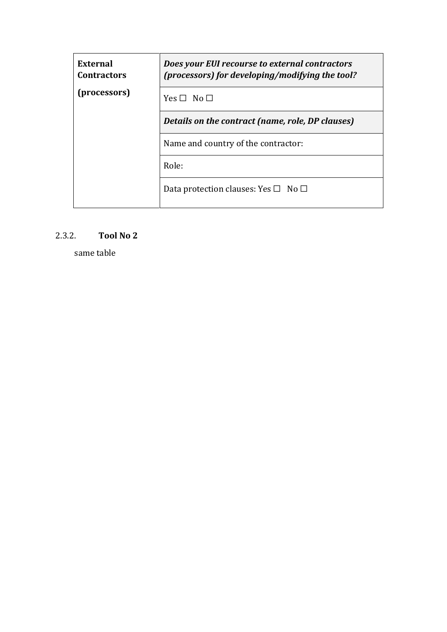| <b>External</b><br><b>Contractors</b> | Does your EUI recourse to external contractors<br>(processors) for developing/modifying the tool? |
|---------------------------------------|---------------------------------------------------------------------------------------------------|
| (processors)                          | $Yes \Box No \Box$                                                                                |
|                                       | Details on the contract (name, role, DP clauses)                                                  |
|                                       | Name and country of the contractor:                                                               |
|                                       | Role:                                                                                             |
|                                       | Data protection clauses: Yes $\Box$ No $\Box$                                                     |

### 2.3.2. **Tool No 2**

same table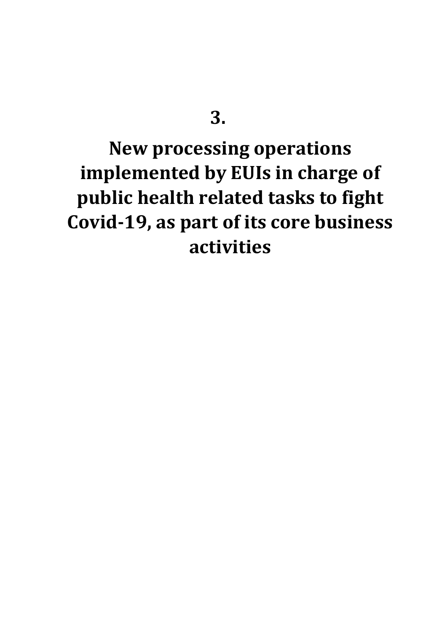## **3.**

# **New processing operations implemented by EUIs in charge of public health related tasks to fight Covid-19, as part of its core business activities**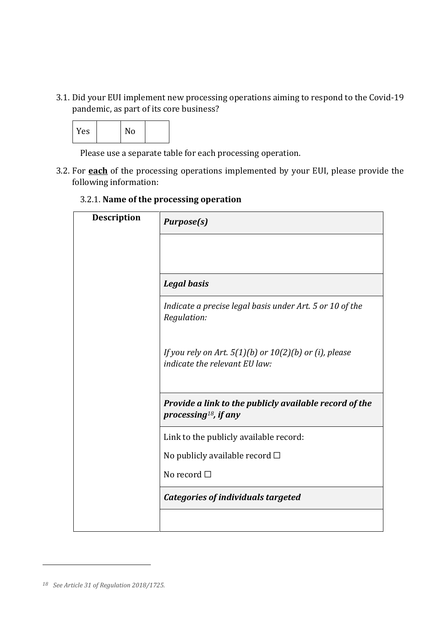3.1. Did your EUI implement new processing operations aiming to respond to the Covid-19 pandemic, as part of its core business?



Please use a separate table for each processing operation.

3.2. For **each** of the processing operations implemented by your EUI, please provide the following information:

### 3.2.1. **Name of the processing operation**

| <b>Description</b> | <b>Purpose(s)</b>                                                                           |
|--------------------|---------------------------------------------------------------------------------------------|
|                    |                                                                                             |
|                    | <b>Legal basis</b>                                                                          |
|                    | Indicate a precise legal basis under Art. 5 or 10 of the<br>Regulation:                     |
|                    | If you rely on Art. $5(1)(b)$ or $10(2)(b)$ or (i), please<br>indicate the relevant EU law: |
|                    | Provide a link to the publicly available record of the<br>processing <sup>18</sup> , if any |
|                    | Link to the publicly available record:                                                      |
|                    | No publicly available record $\square$                                                      |
|                    | No record $\Box$                                                                            |
|                    | <b>Categories of individuals targeted</b>                                                   |
|                    |                                                                                             |

*<sup>18</sup> See Article 31 of Regulation 2018/1725.*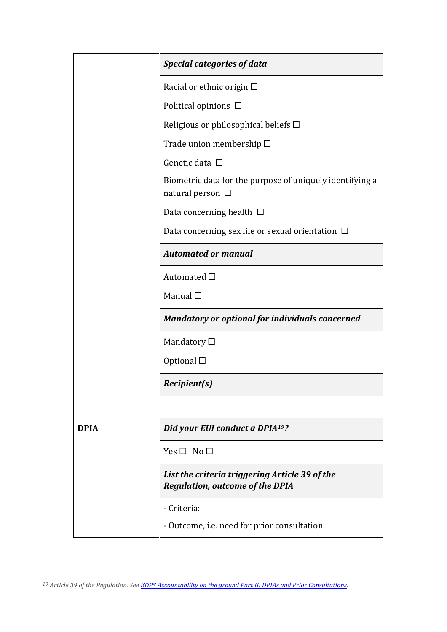|             | <b>Special categories of data</b>                                                        |
|-------------|------------------------------------------------------------------------------------------|
|             | Racial or ethnic origin $\Box$                                                           |
|             | Political opinions $\Box$                                                                |
|             | Religious or philosophical beliefs $\Box$                                                |
|             | Trade union membership □                                                                 |
|             | Genetic data □                                                                           |
|             | Biometric data for the purpose of uniquely identifying a<br>natural person $\Box$        |
|             | Data concerning health $\Box$                                                            |
|             | Data concerning sex life or sexual orientation $\Box$                                    |
|             | <b>Automated or manual</b>                                                               |
|             | Automated $\Box$                                                                         |
|             | Manual $\square$                                                                         |
|             | <b>Mandatory or optional for individuals concerned</b>                                   |
|             | Mandatory $\Box$                                                                         |
|             | Optional $\square$                                                                       |
|             | <i>Recipient(s)</i>                                                                      |
|             |                                                                                          |
| <b>DPIA</b> | Did your EUI conduct a DPIA <sup>19</sup> ?                                              |
|             | $Yes \Box No \Box$                                                                       |
|             | List the criteria triggering Article 39 of the<br><b>Regulation, outcome of the DPIA</b> |
|             | - Criteria:                                                                              |
|             | - Outcome, i.e. need for prior consultation                                              |

*<sup>19</sup> Article 39 of the Regulation. Se[e EDPS Accountability on the ground Part II: DPIAs and Prior Consultations.](https://edps.europa.eu/sites/edp/files/publication/19-07-17_accountability_on_the_ground_part_ii_en.pdf)*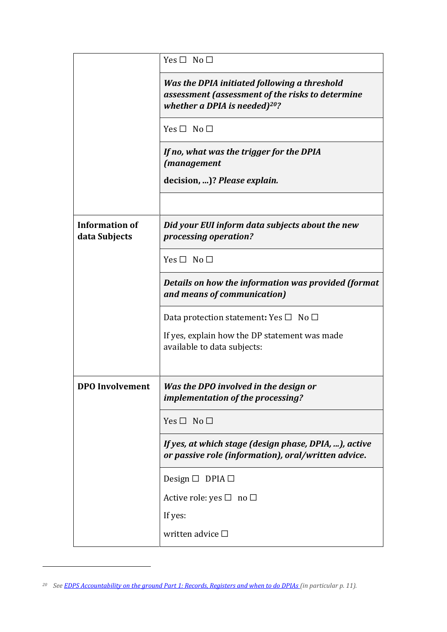|                                        | Yes $\Box$ No $\Box$                                                                                                                 |
|----------------------------------------|--------------------------------------------------------------------------------------------------------------------------------------|
|                                        | Was the DPIA initiated following a threshold<br>assessment (assessment of the risks to determine<br>whether a DPIA is needed) $20$ ? |
|                                        | $Yes \Box No \Box$                                                                                                                   |
|                                        | If no, what was the trigger for the DPIA<br><i>(management</i>                                                                       |
|                                        | decision, )? Please explain.                                                                                                         |
|                                        |                                                                                                                                      |
| <b>Information of</b><br>data Subjects | Did your EUI inform data subjects about the new<br>processing operation?                                                             |
|                                        | Yes $\Box$ No $\Box$                                                                                                                 |
|                                        | Details on how the information was provided (format<br>and means of communication)                                                   |
|                                        | Data protection statement: Yes $\Box$ No $\Box$                                                                                      |
|                                        | If yes, explain how the DP statement was made<br>available to data subjects:                                                         |
| <b>DPO</b> Involvement                 | Was the DPO involved in the design or                                                                                                |
|                                        | implementation of the processing?                                                                                                    |
|                                        | Yes $\Box$ No $\Box$                                                                                                                 |
|                                        | If yes, at which stage (design phase, DPIA, ), active<br>or passive role (information), oral/written advice.                         |
|                                        | Design $\Box$ DPIA $\Box$                                                                                                            |
|                                        | Active role: yes $\square$ no $\square$                                                                                              |
|                                        | If yes:                                                                                                                              |
|                                        | written advice $\square$                                                                                                             |

*<sup>20</sup> Se[e EDPS Accountability on the ground Part 1: Records, Registers and when to do DPIAs \(](https://edps.europa.eu/sites/edp/files/publication/19-07-17_accountability_on_the_ground_part_i_en.pdf)in particular p. 11).*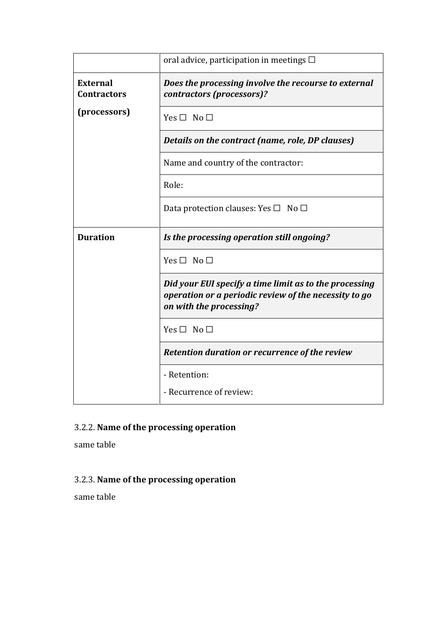|                                       | oral advice, participation in meetings $\Box$                                                                                              |
|---------------------------------------|--------------------------------------------------------------------------------------------------------------------------------------------|
| <b>External</b><br><b>Contractors</b> | Does the processing involve the recourse to external<br>contractors (processors)?                                                          |
| (processors)                          | Yes $\Box$ No $\Box$                                                                                                                       |
|                                       | Details on the contract (name, role, DP clauses)                                                                                           |
|                                       | Name and country of the contractor:                                                                                                        |
|                                       | Role:                                                                                                                                      |
|                                       | Data protection clauses: Yes $\square$ No $\square$                                                                                        |
|                                       |                                                                                                                                            |
| <b>Duration</b>                       | Is the processing operation still ongoing?                                                                                                 |
|                                       | $Yes \Box No \Box$                                                                                                                         |
|                                       | Did your EUI specify a time limit as to the processing<br>operation or a periodic review of the necessity to go<br>on with the processing? |
|                                       | Yes $\Box$ No $\Box$                                                                                                                       |
|                                       | Retention duration or recurrence of the review                                                                                             |
|                                       | - Retention:                                                                                                                               |

### 3.2.2. **Name of the processing operation**

same table

### 3.2.3. **Name of the processing operation**

same table